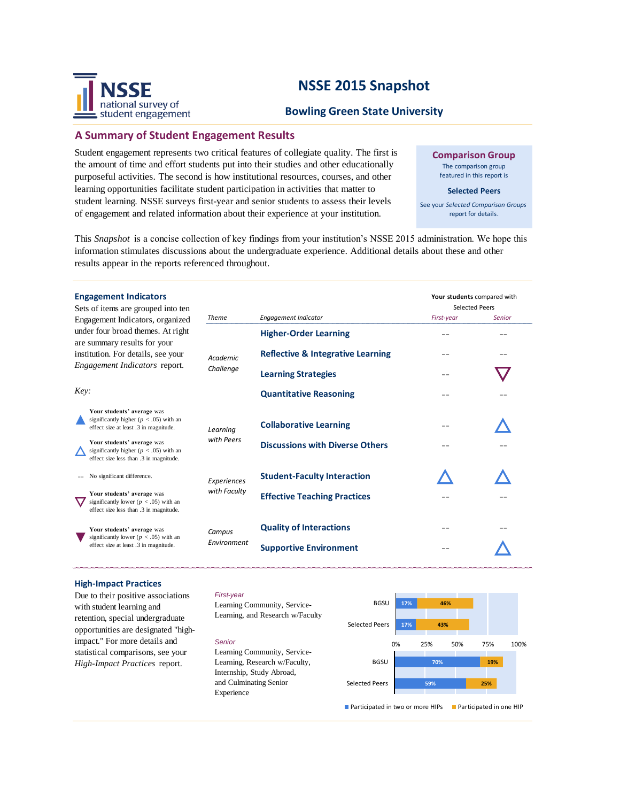# **NSSE 2015 Snapshot**



# **A Summary of Student Engagement Results**

national survey of student engagement

Student engagement represents two critical features of collegiate quality. The first is the amount of time and effort students put into their studies and other educationally purposeful activities. The second is how institutional resources, courses, and other learning opportunities facilitate student participation in activities that matter to student learning. NSSE surveys first-year and senior students to assess their levels of engagement and related information about their experience at your institution.

**Comparison Group** The comparison group featured in this report is

### **Selected Peers**

See your *Selected Comparison Groups*  report for details.

This *Snapshot* is a concise collection of key findings from your institution's NSSE 2015 administration. We hope this information stimulates discussions about the undergraduate experience. Additional details about these and other results appear in the reports referenced throughout.

| <b>Engagement Indicators</b><br>Sets of items are grouped into ten                                                                              |                       |                                              | Your students compared with<br>Selected Peers |        |  |
|-------------------------------------------------------------------------------------------------------------------------------------------------|-----------------------|----------------------------------------------|-----------------------------------------------|--------|--|
| Engagement Indicators, organized                                                                                                                | <b>Theme</b>          | <b>Engagement Indicator</b>                  | First-year                                    | Senior |  |
| under four broad themes. At right<br>are summary results for your<br>institution. For details, see your<br><i>Engagement Indicators report.</i> | Academic<br>Challenge | <b>Higher-Order Learning</b>                 |                                               |        |  |
|                                                                                                                                                 |                       | <b>Reflective &amp; Integrative Learning</b> |                                               |        |  |
|                                                                                                                                                 |                       | <b>Learning Strategies</b>                   |                                               |        |  |
| Key:                                                                                                                                            |                       | <b>Quantitative Reasoning</b>                |                                               |        |  |
| Your students' average was<br>significantly higher ( $p < .05$ ) with an<br>effect size at least .3 in magnitude.                               | Learning              | <b>Collaborative Learning</b>                |                                               |        |  |
| Your students' average was<br>significantly higher ( $p < .05$ ) with an<br>effect size less than .3 in magnitude.                              | with Peers            | <b>Discussions with Diverse Others</b>       |                                               |        |  |
| No significant difference.                                                                                                                      | Experiences           | <b>Student-Faculty Interaction</b>           |                                               |        |  |
| Your students' average was<br>significantly lower ( $p < .05$ ) with an<br>effect size less than .3 in magnitude.                               | with Faculty          | <b>Effective Teaching Practices</b>          |                                               |        |  |
| Your students' average was<br>significantly lower ( $p < .05$ ) with an                                                                         | Campus<br>Environment | <b>Quality of Interactions</b>               |                                               |        |  |
| effect size at least .3 in magnitude.                                                                                                           |                       | <b>Supportive Environment</b>                |                                               |        |  |

### **High-Impact Practices**

Due to their positive associations with student learning and retention, special undergraduate opportunities are designated "highimpact." For more details and statistical comparisons, see your *High-Impact Practices* report.

#### *First-year*

Learning Community, Service-Learning, and Research w/Faculty

#### *Senior*

Learning Community, Service-Learning, Research w/Faculty, Internship, Study Abroad, and Culminating Senior Experience



**Participated in two or more HIPs** Participated in one HIP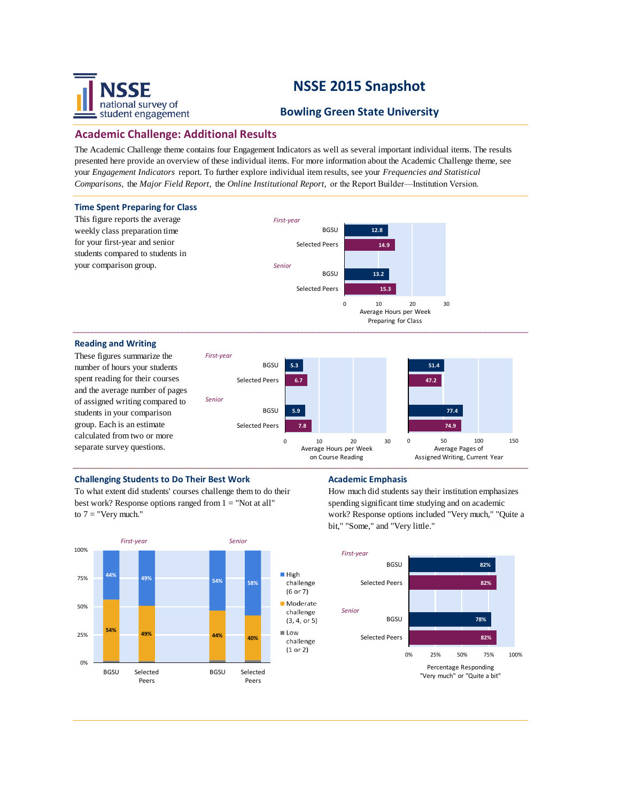# national survey of student engagement

# **NSSE 2015 Snapshot**

# **Bowling Green State University**

# **Academic Challenge: Additional Results**

The Academic Challenge theme contains four Engagement Indicators as well as several important individual items. The results presented here provide an overview of these individual items. For more information about the Academic Challenge theme, see your *Engagement Indicators* report. To further explore individual item results, see your *Frequencies and Statistical Comparisons,* the *Major Field Report,* the *Online Institutional Report,* or the Report Builder—Institution Version.



## **Challenging Students to Do Their Best Work Academic Emphasis**

To what extent did students' courses challenge them to do their best work? Response options ranged from  $1 =$  "Not at all" to  $7 =$  "Very much."



How much did students say their institution emphasizes spending significant time studying and on academic work? Response options included "Very much," "Quite a bit," "Some," and "Very little."

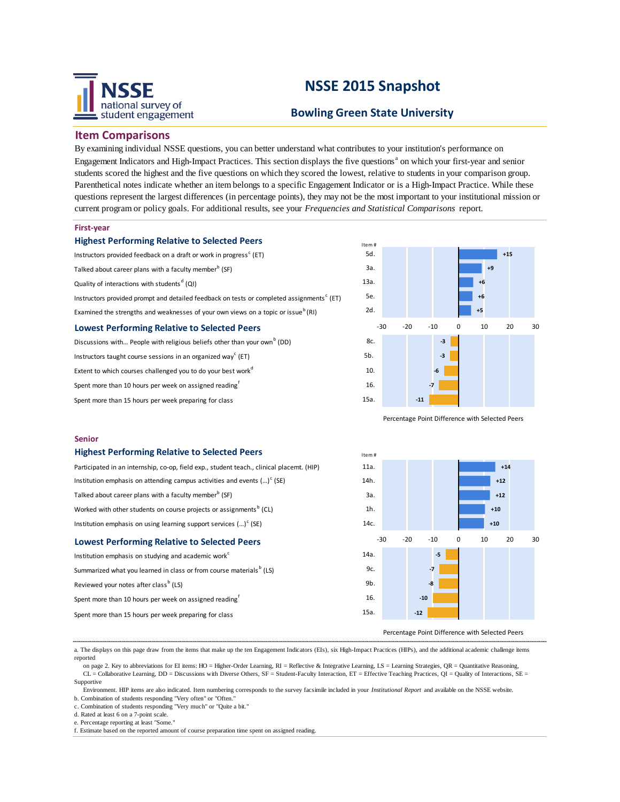

# **NSSE 2015 Snapshot**

# **Bowling Green State University**

Item #

### **Item Comparisons**

By examining individual NSSE questions, you can better understand what contributes to your institution's performance on Engagement Indicators and High-Impact Practices. This section displays the five questions<sup>a</sup> on which your first-year and senior students scored the highest and the five questions on which they scored the lowest, relative to students in your comparison group. Parenthetical notes indicate whether an item belongs to a specific Engagement Indicator or is a High-Impact Practice. While these questions represent the largest differences (in percentage points), they may not be the most important to your institutional mission or current program or policy goals. For additional results, see your *Frequencies and Statistical Comparisons* report.

#### **First-year**

|  | <b>Highest Performing Relative to Selected Peers</b> |  |  |  |
|--|------------------------------------------------------|--|--|--|
|--|------------------------------------------------------|--|--|--|

Instructors provided feedback on a draft or work in progress $^{\text{c}}$  (ET) Talked about career plans with a faculty member<sup>b</sup> (SF) Quality of interactions with students<sup>d</sup> (QI) Instructors provided prompt and detailed feedback on tests or completed assignments<sup>c</sup> (ET) Examined the strengths and weaknesses of your own views on a topic or issue<sup>b</sup> (RI) **Lowest Performing Relative to Selected Peers**

Discussions with... People with religious beliefs other than your own<sup>b</sup> (DD) Instructors taught course sessions in an organized way<sup>c</sup> (ET) Extent to which courses challenged you to do your best work<sup>d</sup> Spent more than 10 hours per week on assigned reading<sup>f</sup> Spent more than 15 hours per week preparing for class



Percentage Point Difference with Selected Peers

#### **Senior**

#### **Highest Performing Relative to Selected Peers**

| Participated in an internship, co-op, field exp., student teach., clinical placemt. (HIP) | 11a. |       |                |   | $+14$ |          |
|-------------------------------------------------------------------------------------------|------|-------|----------------|---|-------|----------|
| Institution emphasis on attending campus activities and events $()^c$ (SE)                | 14h. |       |                |   | $+12$ |          |
| Talked about career plans with a faculty member <sup>b</sup> (SF)                         | За.  |       |                |   | $+12$ |          |
| Worked with other students on course projects or assignments <sup>b</sup> (CL)            | 1h.  |       |                |   | $+10$ |          |
| Institution emphasis on using learning support services $()^c$ (SE)                       | 14c. |       |                |   | $+10$ |          |
| <b>Lowest Performing Relative to Selected Peers</b>                                       |      | $-30$ | $-10$<br>$-20$ | 0 | 10    | 20<br>30 |
| Institution emphasis on studying and academic work <sup>c</sup>                           | 14a. |       | $-5$           |   |       |          |
| Summarized what you learned in class or from course materials <sup>b</sup> (LS)           | 9c.  |       | $-7$           |   |       |          |
| Reviewed your notes after class <sup>b</sup> (LS)                                         | 9b.  |       | -8             |   |       |          |
| Spent more than 10 hours per week on assigned reading <sup>t</sup>                        | 16.  |       | $-10$          |   |       |          |
| Spent more than 15 hours per week preparing for class                                     | 15a. |       | $-12$          |   |       |          |
|                                                                                           |      |       |                |   |       |          |

#### Percentage Point Difference with Selected Peers

a. The displays on this page draw from the items that make up the ten Engagement Indicators (EIs), six High-Impact Practices (HIPs), and the additional academic challenge items reported

on page 2. Key to abbreviations for EI items: HO = Higher-Order Learning, RI = Reflective & Integrative Learning, LS = Learning Strategies, QR = Quantitative Reasoning, CL = Collaborative Learning, DD = Discussions with Diverse Others, SF = Student-Faculty Interaction, ET = Effective Teaching Practices, QI = Quality of Interactions, SE = Supportive

 Environment. HIP items are also indicated. Item numbering corresponds to the survey facsimile included in your *Institutional Report* and available on the NSSE website. b. Combination of students responding "Very often" or "Often."

c. Combination of students responding "Very much" or "Quite a bit."

g. Estimate based on number of assigned writing tasks of assigned writing tasks of various lengths. The contract of

d. Rated at least 6 on a 7-point scale.

e. Percentage reporting at least "Some.

f. Estimate based on the reported amount of course preparation time spent on assigned reading.